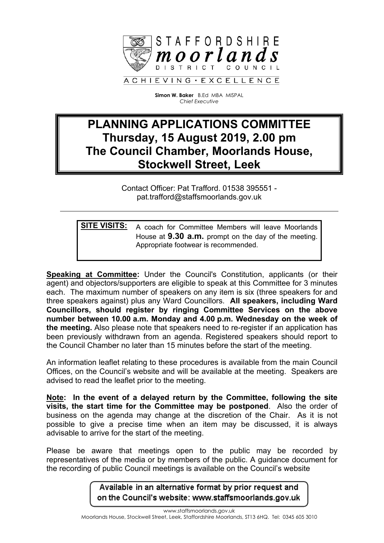

**Simon W. Baker** B.Ed MBA MISPAL *Chief Executive*

## **PLANNING APPLICATIONS COMMITTEE Thursday, 15 August 2019, 2.00 pm The Council Chamber, Moorlands House, Stockwell Street, Leek**

Contact Officer: Pat Trafford. 01538 395551 pat.trafford@staffsmoorlands.gov.uk

**SITE VISITS:** A coach for Committee Members will leave Moorlands House at **9.30 a.m.** prompt on the day of the meeting. Appropriate footwear is recommended.

**Speaking at Committee:** Under the Council's Constitution, applicants (or their agent) and objectors/supporters are eligible to speak at this Committee for 3 minutes each. The maximum number of speakers on any item is six (three speakers for and three speakers against) plus any Ward Councillors. **All speakers, including Ward Councillors, should register by ringing Committee Services on the above number between 10.00 a.m. Monday and 4.00 p.m. Wednesday on the week of the meeting.** Also please note that speakers need to re-register if an application has been previously withdrawn from an agenda. Registered speakers should report to the Council Chamber no later than 15 minutes before the start of the meeting.

An information leaflet relating to these procedures is available from the main Council Offices, on the Council's website and will be available at the meeting. Speakers are advised to read the leaflet prior to the meeting.

**Note: In the event of a delayed return by the Committee, following the site visits, the start time for the Committee may be postponed**. Also the order of business on the agenda may change at the discretion of the Chair. As it is not possible to give a precise time when an item may be discussed, it is always advisable to arrive for the start of the meeting.

Please be aware that meetings open to the public may be recorded by representatives of the media or by members of the public. A guidance document for the recording of public Council meetings is available on the Council's website

> Available in an alternative format by prior request and on the Council's website: www.staffsmoorlands.gov.uk

> > www.staffsmoorlands.gov.uk

Moorlands House, Stockwell Street, Leek, Staffordshire Moorlands, ST13 6HQ. Tel: 0345 605 3010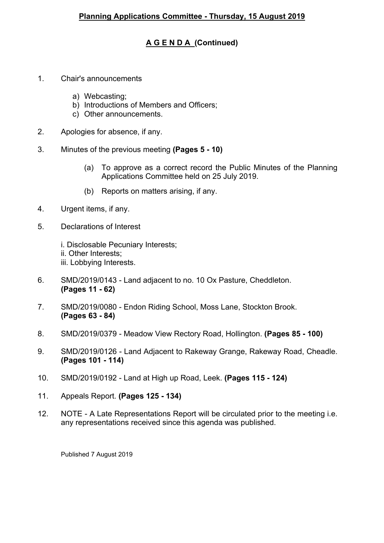## **A G E N D A (Continued)**

- 1. Chair's announcements
	- a) Webcasting;
	- b) Introductions of Members and Officers;
	- c) Other announcements.
- 2. Apologies for absence, if any.
- 3. Minutes of the previous meeting **(Pages 5 - 10)**
	- (a) To approve as a correct record the Public Minutes of the Planning Applications Committee held on 25 July 2019.
	- (b) Reports on matters arising, if any.
- 4. Urgent items, if any.
- 5. Declarations of Interest
	- i. Disclosable Pecuniary Interests;
	- ii. Other Interests;
	- iii. Lobbying Interests.
- 6. SMD/2019/0143 Land adjacent to no. 10 Ox Pasture, Cheddleton. **(Pages 11 - 62)**
- 7. SMD/2019/0080 Endon Riding School, Moss Lane, Stockton Brook. **(Pages 63 - 84)**
- 8. SMD/2019/0379 Meadow View Rectory Road, Hollington. **(Pages 85 - 100)**
- 9. SMD/2019/0126 Land Adjacent to Rakeway Grange, Rakeway Road, Cheadle. **(Pages 101 - 114)**
- 10. SMD/2019/0192 Land at High up Road, Leek. **(Pages 115 - 124)**
- 11. Appeals Report. **(Pages 125 - 134)**
- 12. NOTE A Late Representations Report will be circulated prior to the meeting i.e. any representations received since this agenda was published.

Published 7 August 2019